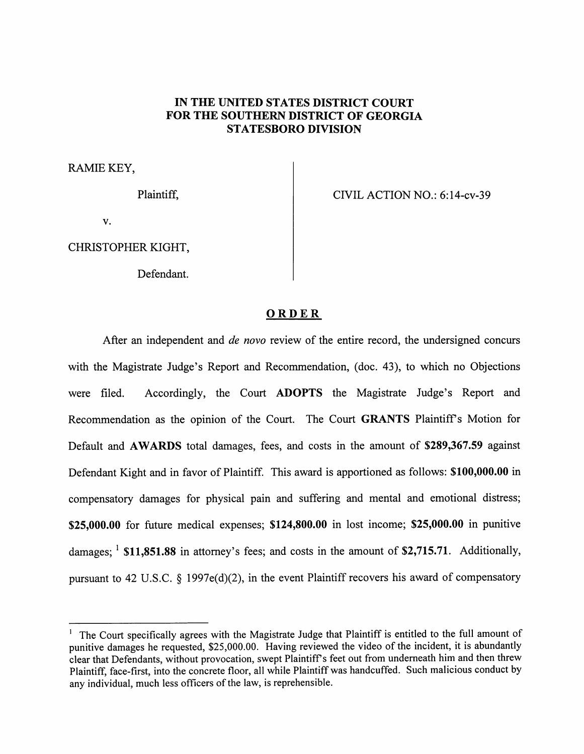## *IN THE UNITED STATES DISTRICT COURT FOR THE SOUTHERN DISTRICT OF GEORGIA STATESBORO DIVISION*

RAMIE KEY,

Plaintiff,

CIVIL ACTION NO.: 6:14-cv-39

v.

CHRISTOPHER KIGHT,

Defendant.

## *ORDER*

After an independent and **de novo** review of the entire record, the undersigned concurs with the Magistrate Judge's Report and Recommendation, (doc. 43), to which no Objections were filed. Accordingly, the Court *ADOPTS* the Magistrate Judge's Report and Recommendation as the opinion of the Court. The Court **GRANTS** Plaintiff's Motion for Default and *AWARDS* total damages, fees, and costs in the amount of *\$289,367.59* against Defendant Kight and in favor of Plaintiff. This award is apportioned as follows: *\$100,000.00* in compensatory damages for physical pain and suffering and mental and emotional distress; *\$25,000.00* for future medical expenses; *\$124,800.00* in lost income; *\$25,000.00* in punitive damages; **l** *\$11,851.88* in attorney's fees; and costs in the amount of *\$2,715.71.* Additionally, pursuant to 42 U.S.C. § 1997e(d)(2), in the event Plaintiff recovers his award of compensatory

<sup>1</sup> The Court specifically agrees with the Magistrate Judge that Plaintiff is entitled to the full amount of punitive damages he requested, \$25,000.00. Having reviewed the video of the incident, it is abundantly clear that Defendants, without provocation, swept Plaintiff's feet out from underneath him and then threw Plaintiff, face-first, into the concrete floor, all while Plaintiff was handcuffed. Such malicious conduct by any individual, much less officers of the law, is reprehensible.